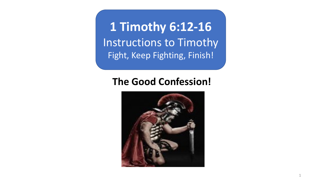**1 Timothy 6:12-16** Instructions to Timothy Fight, Keep Fighting, Finish!

## **The Good Confession!**

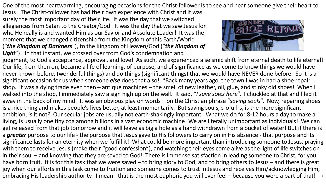One of the most heartwarming, encouraging occasions for the Christ-follower is to see and hear someone give their heart to

Jesus! The Christ-follower has had their own experience with Christ and it was surely the most important day of their life. It was the day that we switched allegiances from Satan to the Creator/God. It was the day that we saw Jesus for who He really is and wanted Him as our Savior and Absolute Leader! It was the moment that we changed citizenship from the Kingdom of this Earth/World ("*the Kingdom of Darkness*"), to the Kingdom of Heaven/God ("*the Kingdom of*  Light")! In that instant, we crossed over from God's condemnation and



judgment, to God's acceptance, approval, and love! As such, we experienced a seismic shift from eternal death to life eternal! Our life, from then on, became a life of learning, of purpose, and of significance as we come to know things we would have never known before, (wonderful things) and do things (significant things) that we would have NEVER done before. So it is a significant occasion for us when someone *else* does that also! \*Back many years ago, the town I was in had a shoe repair shop. It was a dying trade even then – antique machines – the smell of new leather, oil, glue, and stinky old shoes! When I walked into the shop, I immediately saw a sign high up on the wall. It said, "*I save soles here*". I chuckled at that and filed it away in the back of my mind. It was an obvious play on words – on the Christian phrase "*saving souls*". Now, repairing shoes is a nice thing and makes people's lives better, at least momentarily. But saving souls, s-o-u-l-s, is the more significant ambition, is it not? Our secular jobs are usually not earth-shakingly important. What we do for 8-12 hours a day to make a living, is usually one tiny cog among billions in a vast economic machine! We are literally unimportant as individuals! We can get released from that job tomorrow and it will leave as big a hole as a hand withdrawn from a bucket of water! But if there is a *greater* purpose to our life - the purpose that Jesus gave to His followers to carry on in His absence - that purpose and its significance lasts for an eternity when we fulfill it! What could be more important than introducing someone to Jesus, praying with them to receive Jesus (make their "good confession"), and watching their eyes come alive as the light of life switches on in their soul – and knowing that they are saved to God! There is immense satisfaction in leading someone to Christ, for you have born fruit. It is for this task that we were saved – to bring glory to God, and to bring others to Jesus – and there is great joy when our efforts in this task come to fruition and someone comes to trust in Jesus and receives Him/acknowledging Him, embracing His leadership authority. I mean - that is the most euphoric you will ever feel – because you were a part of that!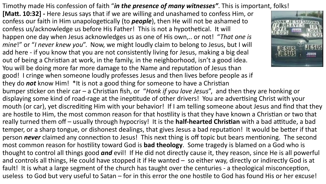Timothy made His confession of faith "*in the presence of many witnesses"*. This is important, folks!

**[Matt. 10:32] -** Here Jesus says that if we are willing and unashamed to confess Him, or confess our faith in Him unapologetically (to *people*), then He will not be ashamed to confess us/acknowledge us before His Father! This is not a hypothetical. It will happen one day when Jesus acknowledges us as one of His own,.. or not! "*That one is mine*!" or "*I never knew you*". Now, we might loudly claim to belong to Jesus, but I will add here - if you know that you are not consistently living for Jesus, making a big deal out of being a Christian at work, in the family, in the neighborhood, isn't a good idea. You will be doing more far more damage to the Name and reputation of Jesus than good! I cringe when someone loudly professes Jesus and then lives before people as if they do *not* know Him! \*It is not a good thing for someone to have a Christian



bumper sticker on their car – a Christian fish, or "*Honk if you love Jesus*", and then they are honking or displaying some kind of road-rage at the ineptitude of other drivers! You are advertising Christ with your mouth (or car), yet discrediting Him with your behavior! If I am telling someone about Jesus and find that they are hostile to Him, the most common reason for that hostility is that they have known a Christian or two that really turned them off – usually through hypocrisy! It is the **half-hearted Christian** with a bad attitude, a bad temper, or a sharp tongue, or dishonest dealings, that gives Jesus a bad reputation! It would be better if that person *never* claimed any connection to Jesus! This next thing is off topic but bears mentioning. The second most common reason for hostility toward God is **bad theology**. Some tragedy is blamed on a God who is thought to control all things good *and* evil! If He did not directly cause it, they reason, since He is all powerful and controls all things, He could have stopped it if He wanted – so either way, directly or indirectly God is at fault! It is what a large segment of the church has taught over the centuries - a theological misconception, useless to God but very useful to Satan – for in this error the one hostile to God has found His or her excuse!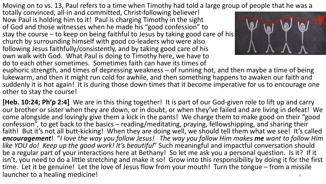Moving on to vs. 13, Paul refers to a time when Timothy had told a large group of people that he was a

totally convinced, all-in and committed, Christ-following believer! Now Paul is holding him to it! Paul is charging Timothy in the sight of God and those witnesses when he made his "good confession" to stay the course – to keep on being faithful to Jesus by taking good care of his church by surrounding himself with good co-leaders who were also following Jesus faithfully/consistently, and by taking good care of his own walk with God. What Paul is doing to Timothy here, we have to do to each other sometimes. Sometimes faith can have its times of



euphoric strength, and times of depressing weakness – of running hot, and then maybe a time of being lukewarm, and then it might run cold for awhile, and then something happens to awaken our faith and suddenly it is hot again! It is during those down times that it become imperative for us to encourage one other to stay the course!

**[Heb. 10:24; Ph'p 2:4]** We are in this thing together! It is part of our God-given role to lift up and carry our brother or sister when they are down, or in doubt, or when they've failed and are living in defeat! We come alongside and lovingly give them a kick in the pants! We charge them to make good on their "good confession", to get back to the basics – reading/meditating, praying, fellowshipping, and sharing their faith! But it's not all butt-kicking! When they are doing well, we should tell them what we see! It's called *encouragement*! "*I love the way you follow Jesus! The way you follow Him makes me want to follow Him like YOU do! Keep up the good work! It's beautiful*" Such meaningful and impactful conversation should be a regular part of your interactions here at Bethany! So let me ask you a personal question. Is it? If it isn't, you need to do a little stretching and make it so! Grow into this responsibility by doing it for the first time. Let it be genuine! Let the love of Jesus flow from your mouth! Turn the tongue – from a missile launcher to a healing medicine!